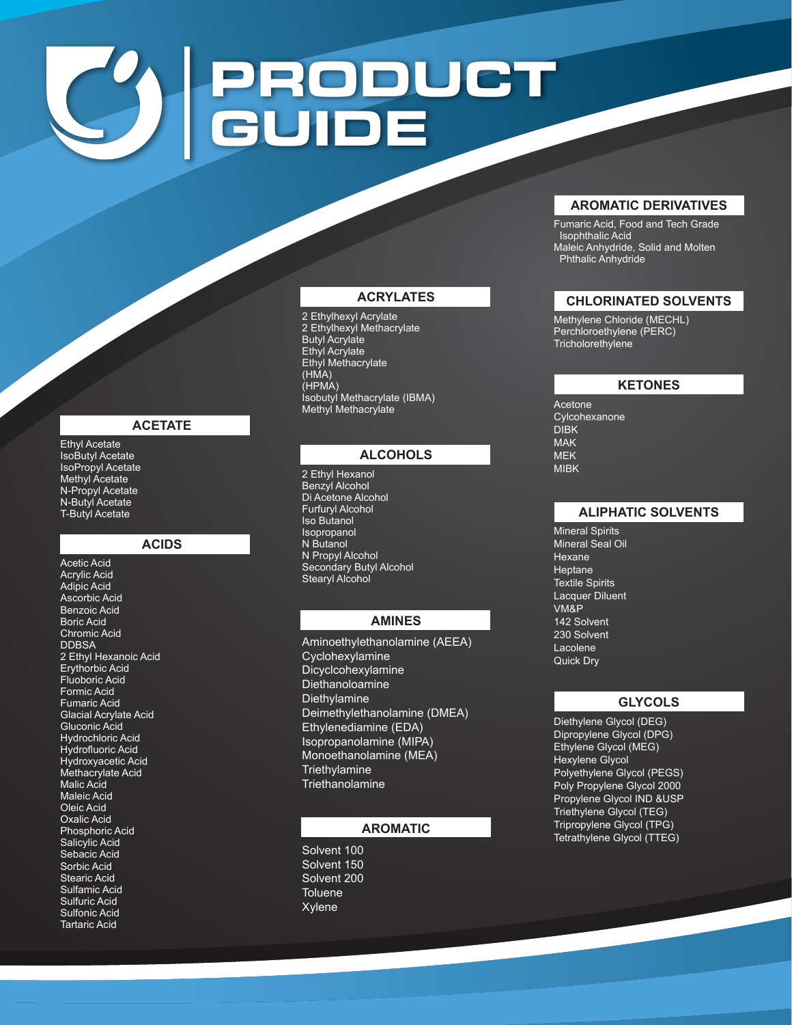# **PRODUCT GUIDE**

## **ACRYLATES**

2 Ethylhexyl Acrylate 2 Ethylhexyl Methacrylate Butyl Acrylate Ethyl Acrylate Ethyl Methacrylate (HMA) (HPMA) Isobutyl Methacrylate (IBMA) Methyl Methacrylate

## **ALCOHOLS**

2 Ethyl Hexanol Benzyl Alcohol Di Acetone Alcohol Furfuryl Alcohol Iso Butanol Isopropanol N Butanol N Propyl Alcohol Secondary Butyl Alcohol Stearyl Alcohol

## **AMINES**

Aminoethylethanolamine (AEEA) Cyclohexylamine Dicyclcohexylamine Diethanoloamine **Diethylamine** Deimethylethanolamine (DMEA) Ethylenediamine (EDA) Isopropanolamine (MIPA) Monoethanolamine (MEA) **Triethylamine Triethanolamine** 

## **AROMATIC**

Solvent 100 Solvent 150 Solvent 200 **Toluene** Xylene

## **AROMATIC DERIVATIVES**

Fumaric Acid, Food and Tech Grade Isophthalic Acid Maleic Anhydride, Solid and Molten Phthalic Anhydride

## **CHLORINATED SOLVENTS**

Methylene Chloride (MECHL) Perchloroethylene (PERC) **Tricholorethylene** 

## **KETONES**

Acetone Cylcohexanone DIBK MAK MEK MIBK

## **ALIPHATIC SOLVENTS**

Mineral Spirits Mineral Seal Oil Hexane Heptane Textile Spirits Lacquer Diluent VM&P 142 Solvent 230 Solvent Lacolene Quick Dry

### **GLYCOLS**

Diethylene Glycol (DEG) Dipropylene Glycol (DPG) Ethylene Glycol (MEG) Hexylene Glycol Polyethylene Glycol (PEGS) Poly Propylene Glycol 2000 Propylene Glycol IND &USP Triethylene Glycol (TEG) Tripropylene Glycol (TPG) Tetrathylene Glycol (TTEG)

#### **ACETATE**

Ethyl Acetate IsoButyl Acetate IsoPropyl Acetate Methyl Acetate N-Propyl Acetate N-Butyl Acetate T-Butyl Acetate

#### **ACIDS**

Acetic Acid Acrylic Acid Adipic Acid Ascorbic Acid Benzoic Acid Boric Acid Chromic Acid **DDBSA** 2 Ethyl Hexanoic Acid Erythorbic Acid Fluoboric Acid Formic Acid Fumaric Acid Glacial Acrylate Acid Gluconic Acid Hydrochloric Acid Hydrofluoric Acid Hydroxyacetic Acid Methacrylate Acid Malic Acid Maleic Acid Oleic Acid Oxalic Acid Phosphoric Acid Salicylic Acid Sebacic Acid Sorbic Acid Stearic Acid Sulfamic Acid Sulfuric Acid Sulfonic Acid Tartaric Acid